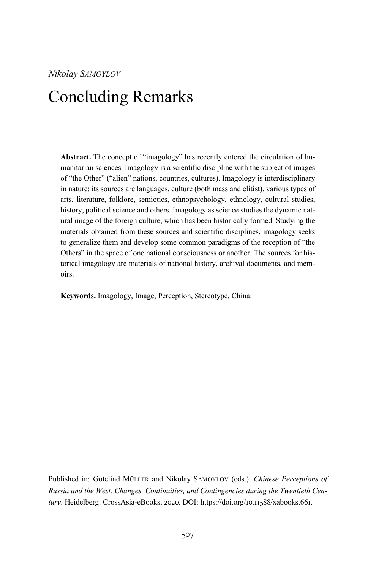## Concluding Remarks

**Abstract.** The concept of "imagology" has recently entered the circulation of humanitarian sciences. Imagology is a scientific discipline with the subject of images of "the Other" ("alien" nations, countries, cultures). Imagology is interdisciplinary in nature: its sources are languages, culture (both mass and elitist), various types of arts, literature, folklore, semiotics, ethnopsychology, ethnology, cultural studies, history, political science and others. Imagology as science studies the dynamic natural image of the foreign culture, which has been historically formed. Studying the materials obtained from these sources and scientific disciplines, imagology seeks to generalize them and develop some common paradigms of the reception of "the Others" in the space of one national consciousness or another. The sources for historical imagology are materials of national history, archival documents, and memoirs.

**Keywords.** Imagology, Image, Perception, Stereotype, China.

Published in: Gotelind MÜLLER and Nikolay SAMOYLOV (eds.): *Chinese Perceptions of Russia and the West. Changes, Continuities, and Contingencies during the Twentieth Cen*tury. Heidelberg: CrossAsia-eBooks, 2020. DOI: https://doi.org/10.11588/xabooks.661.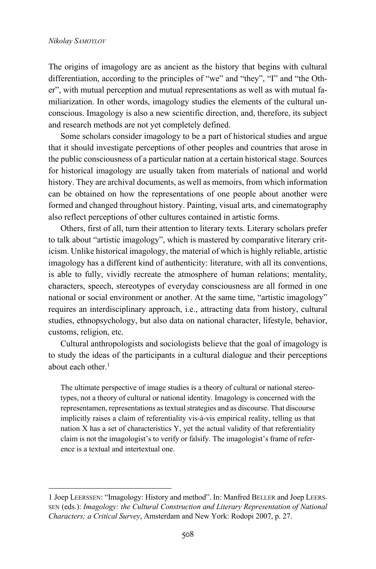The origins of imagology are as ancient as the history that begins with cultural differentiation, according to the principles of "we" and "they", "I" and "the Other", with mutual perception and mutual representations as well as with mutual familiarization. In other words, imagology studies the elements of the cultural unconscious. Imagology is also a new scientific direction, and, therefore, its subject and research methods are not yet completely defined.

Some scholars consider imagology to be a part of historical studies and argue that it should investigate perceptions of other peoples and countries that arose in the public consciousness of a particular nation at a certain historical stage. Sources for historical imagology are usually taken from materials of national and world history. They are archival documents, as well as memoirs, from which information can be obtained on how the representations of one people about another were formed and changed throughout history. Painting, visual arts, and cinematography also reflect perceptions of other cultures contained in artistic forms.

Others, first of all, turn their attention to literary texts. Literary scholars prefer to talk about "artistic imagology", which is mastered by comparative literary criticism. Unlike historical imagology, the material of which is highly reliable, artistic imagology has a different kind of authenticity: literature, with all its conventions, is able to fully, vividly recreate the atmosphere of human relations; mentality, characters, speech, stereotypes of everyday consciousness are all formed in one national or social environment or another. At the same time, "artistic imagology" requires an interdisciplinary approach, i.e., attracting data from history, cultural studies, ethnopsychology, but also data on national character, lifestyle, behavior, customs, religion, etc.

Cultural anthropologists and sociologists believe that the goal of imagology is to study the ideas of the participants in a cultural dialogue and their perceptions about each other. $1$ 

The ultimate perspective of image studies is a theory of cultural or national stereotypes, not a theory of cultural or national identity. Imagology is concerned with the representamen, representations as textual strategies and as discourse. That discourse implicitly raises a claim of referentiality vis-à-vis empirical reality, telling us that nation X has a set of characteristics Y, yet the actual validity of that referentiality claim is not the imagologist's to verify or falsify. The imagologist's frame of reference is a textual and intertextual one.

<sup>1</sup> Joep LEERSSEN: "Imagology: History and method". In: Manfred BELLER and Joep LEERS-SEN (eds.): *Imagology: the Cultural Construction and Literary Representation of National Characters; a Critical Survey*, Amsterdam and New York: Rodopi 2007, p. 27.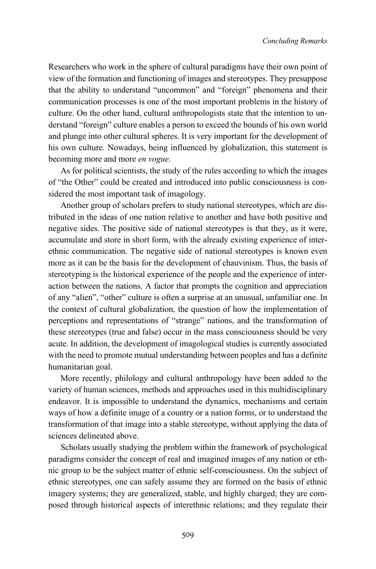Researchers who work in the sphere of cultural paradigms have their own point of view of the formation and functioning of images and stereotypes. They presuppose that the ability to understand "uncommon" and "foreign" phenomena and their communication processes is one of the most important problems in the history of culture. On the other hand, cultural anthropologists state that the intention to understand "foreign" culture enables a person to exceed the bounds of his own world and plunge into other cultural spheres. It is very important for the development of his own culture. Nowadays, being influenced by globalization, this statement is becoming more and more *en vogue*.

As for political scientists, the study of the rules according to which the images of "the Other" could be created and introduced into public consciousness is considered the most important task of imagology.

Another group of scholars prefers to study national stereotypes, which are distributed in the ideas of one nation relative to another and have both positive and negative sides. The positive side of national stereotypes is that they, as it were, accumulate and store in short form, with the already existing experience of interethnic communication. The negative side of national stereotypes is known even more as it can be the basis for the development of chauvinism. Thus, the basis of stereotyping is the historical experience of the people and the experience of interaction between the nations. A factor that prompts the cognition and appreciation of any "alien", "other" culture is often a surprise at an unusual, unfamiliar one. In the context of cultural globalization, the question of how the implementation of perceptions and representations of "strange" nations, and the transformation of these stereotypes (true and false) occur in the mass consciousness should be very acute. In addition, the development of imagological studies is currently associated with the need to promote mutual understanding between peoples and has a definite humanitarian goal.

More recently, philology and cultural anthropology have been added to the variety of human sciences, methods and approaches used in this multidisciplinary endeavor. It is impossible to understand the dynamics, mechanisms and certain ways of how a definite image of a country or a nation forms, or to understand the transformation of that image into a stable stereotype, without applying the data of sciences delineated above.

Scholars usually studying the problem within the framework of psychological paradigms consider the concept of real and imagined images of any nation or ethnic group to be the subject matter of ethnic self-consciousness. On the subject of ethnic stereotypes, one can safely assume they are formed on the basis of ethnic imagery systems; they are generalized, stable, and highly charged; they are composed through historical aspects of interethnic relations; and they regulate their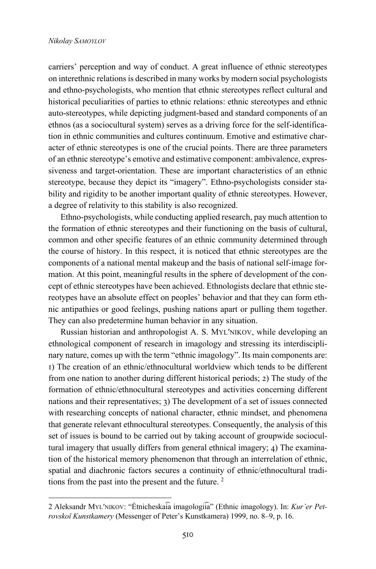carriers' perception and way of conduct. A great influence of ethnic stereotypes on interethnic relations is described in many works by modern social psychologists and ethno-psychologists, who mention that ethnic stereotypes reflect cultural and historical peculiarities of parties to ethnic relations: ethnic stereotypes and ethnic auto-stereotypes, while depicting judgment-based and standard components of an ethnos (as a sociocultural system) serves as a driving force for the self-identification in ethnic communities and cultures continuum. Emotive and estimative character of ethnic stereotypes is one of the crucial points. There are three parameters of an ethnic stereotype's emotive and estimative component: ambivalence, expressiveness and target-orientation. These are important characteristics of an ethnic stereotype, because they depict its "imagery". Ethno-psychologists consider stability and rigidity to be another important quality of ethnic stereotypes. However, a degree of relativity to this stability is also recognized.

Ethno-psychologists, while conducting applied research, pay much attention to the formation of ethnic stereotypes and their functioning on the basis of cultural, common and other specific features of an ethnic community determined through the course of history. In this respect, it is noticed that ethnic stereotypes are the components of a national mental makeup and the basis of national self-image formation. At this point, meaningful results in the sphere of development of the concept of ethnic stereotypes have been achieved. Ethnologists declare that ethnic stereotypes have an absolute effect on peoples' behavior and that they can form ethnic antipathies or good feelings, pushing nations apart or pulling them together. They can also predetermine human behavior in any situation.

Russian historian and anthropologist A. S. MYLʹNIKOV, while developing an ethnological component of research in imagology and stressing its interdisciplinary nature, comes up with the term "ethnic imagology". Its main components are: I) The creation of an ethnic/ethnocultural worldview which tends to be different from one nation to another during different historical periods; 2) The study of the formation of ethnic/ethnocultural stereotypes and activities concerning different nations and their representatives; 3) The development of a set of issues connected with researching concepts of national character, ethnic mindset, and phenomena that generate relevant ethnocultural stereotypes. Consequently, the analysis of this set of issues is bound to be carried out by taking account of groupwide sociocultural imagery that usually differs from general ethnical imagery; 4) The examination of the historical memory phenomenon that through an interrelation of ethnic, spatial and diachronic factors secures a continuity of ethnic/ethnocultural traditions from the past into the present and the future. 2

<sup>2</sup> Aleksandr MYLʹNIKOV: "Ėtnicheskai͡a imagologii͡a" (Ethnic imagology). In: *Kur'er Petrovskoĭ Kunstkamery* (Messenger of Peter's Kunstkamera) 1999, no. 8–9, p. 16.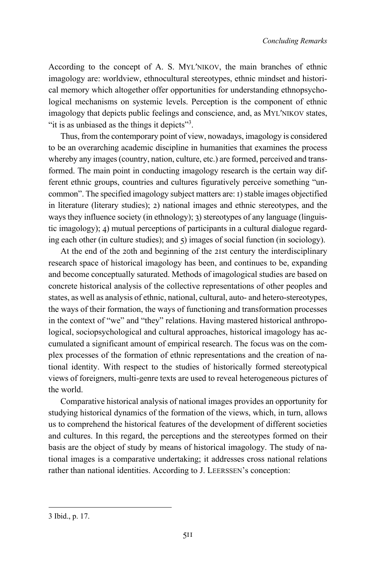According to the concept of A. S. MYLʹNIKOV, the main branches of ethnic imagology are: worldview, ethnocultural stereotypes, ethnic mindset and historical memory which altogether offer opportunities for understanding ethnopsychological mechanisms on systemic levels. Perception is the component of ethnic imagology that depicts public feelings and conscience, and, as MYLʹNIKOV states, "it is as unbiased as the things it depicts"<sup>3</sup>.

Thus, from the contemporary point of view, nowadays, imagology is considered to be an overarching academic discipline in humanities that examines the process whereby any images (country, nation, culture, etc.) are formed, perceived and transformed. The main point in conducting imagology research is the certain way different ethnic groups, countries and cultures figuratively perceive something "uncommon". The specified imagology subject matters are:  $I$ ) stable images objectified in literature (literary studies); 2) national images and ethnic stereotypes, and the ways they influence society (in ethnology); 3) stereotypes of any language (linguistic imagology); 4) mutual perceptions of participants in a cultural dialogue regarding each other (in culture studies); and  $\zeta$ ) images of social function (in sociology).

At the end of the 20th and beginning of the 21st century the interdisciplinary research space of historical imagology has been, and continues to be, expanding and become conceptually saturated. Methods of imagological studies are based on concrete historical analysis of the collective representations of other peoples and states, as well as analysis of ethnic, national, cultural, auto- and hetero-stereotypes, the ways of their formation, the ways of functioning and transformation processes in the context of "we" and "they" relations. Having mastered historical anthropological, sociopsychological and cultural approaches, historical imagology has accumulated a significant amount of empirical research. The focus was on the complex processes of the formation of ethnic representations and the creation of national identity. With respect to the studies of historically formed stereotypical views of foreigners, multi-genre texts are used to reveal heterogeneous pictures of the world.

Comparative historical analysis of national images provides an opportunity for studying historical dynamics of the formation of the views, which, in turn, allows us to comprehend the historical features of the development of different societies and cultures. In this regard, the perceptions and the stereotypes formed on their basis are the object of study by means of historical imagology. The study of national images is a comparative undertaking; it addresses cross national relations rather than national identities. According to J. LEERSSEN's conception:

<sup>3</sup> Ibid., p. 17.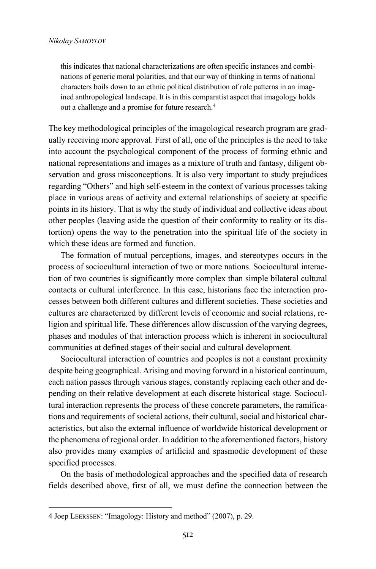this indicates that national characterizations are often specific instances and combinations of generic moral polarities, and that our way of thinking in terms of national characters boils down to an ethnic political distribution of role patterns in an imagined anthropological landscape. It is in this comparatist aspect that imagology holds out a challenge and a promise for future research.4

The key methodological principles of the imagological research program are gradually receiving more approval. First of all, one of the principles is the need to take into account the psychological component of the process of forming ethnic and national representations and images as a mixture of truth and fantasy, diligent observation and gross misconceptions. It is also very important to study prejudices regarding "Others" and high self-esteem in the context of various processes taking place in various areas of activity and external relationships of society at specific points in its history. That is why the study of individual and collective ideas about other peoples (leaving aside the question of their conformity to reality or its distortion) opens the way to the penetration into the spiritual life of the society in which these ideas are formed and function.

The formation of mutual perceptions, images, and stereotypes occurs in the process of sociocultural interaction of two or more nations. Sociocultural interaction of two countries is significantly more complex than simple bilateral cultural contacts or cultural interference. In this case, historians face the interaction processes between both different cultures and different societies. These societies and cultures are characterized by different levels of economic and social relations, religion and spiritual life. These differences allow discussion of the varying degrees, phases and modules of that interaction process which is inherent in sociocultural communities at defined stages of their social and cultural development.

Sociocultural interaction of countries and peoples is not a constant proximity despite being geographical. Arising and moving forward in a historical continuum, each nation passes through various stages, constantly replacing each other and depending on their relative development at each discrete historical stage. Sociocultural interaction represents the process of these concrete parameters, the ramifications and requirements of societal actions, their cultural, social and historical characteristics, but also the external influence of worldwide historical development or the phenomena of regional order. In addition to the aforementioned factors, history also provides many examples of artificial and spasmodic development of these specified processes.

On the basis of methodological approaches and the specified data of research fields described above, first of all, we must define the connection between the

<sup>4</sup> Joep LEERSSEN: "Imagology: History and method" (2007), p. 29.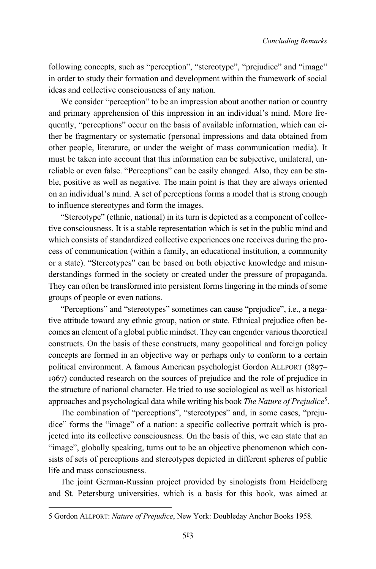following concepts, such as "perception", "stereotype", "prejudice" and "image" in order to study their formation and development within the framework of social ideas and collective consciousness of any nation.

We consider "perception" to be an impression about another nation or country and primary apprehension of this impression in an individual's mind. More frequently, "perceptions" occur on the basis of available information, which can either be fragmentary or systematic (personal impressions and data obtained from other people, literature, or under the weight of mass communication media). It must be taken into account that this information can be subjective, unilateral, unreliable or even false. "Perceptions" can be easily changed. Also, they can be stable, positive as well as negative. The main point is that they are always oriented on an individual's mind. A set of perceptions forms a model that is strong enough to influence stereotypes and form the images.

"Stereotype" (ethnic, national) in its turn is depicted as a component of collective consciousness. It is a stable representation which is set in the public mind and which consists of standardized collective experiences one receives during the process of communication (within a family, an educational institution, a community or a state). "Stereotypes" can be based on both objective knowledge and misunderstandings formed in the society or created under the pressure of propaganda. They can often be transformed into persistent forms lingering in the minds of some groups of people or even nations.

"Perceptions" and "stereotypes" sometimes can cause "prejudice", i.e., a negative attitude toward any ethnic group, nation or state. Ethnical prejudice often becomes an element of a global public mindset. They can engender various theoretical constructs. On the basis of these constructs, many geopolitical and foreign policy concepts are formed in an objective way or perhaps only to conform to a certain political environment. A famous American psychologist Gordon ALLPORT (1897– 1967) conducted research on the sources of prejudice and the role of prejudice in the structure of national character. He tried to use sociological as well as historical approaches and psychological data while writing his book *The Nature of Prejudice*<sup>5</sup> .

The combination of "perceptions", "stereotypes" and, in some cases, "prejudice" forms the "image" of a nation: a specific collective portrait which is projected into its collective consciousness. On the basis of this, we can state that an "image", globally speaking, turns out to be an objective phenomenon which consists of sets of perceptions and stereotypes depicted in different spheres of public life and mass consciousness.

The joint German-Russian project provided by sinologists from Heidelberg and St. Petersburg universities, which is a basis for this book, was aimed at

<sup>5</sup> Gordon ALLPORT: *Nature of Prejudice*, New York: Doubleday Anchor Books 1958.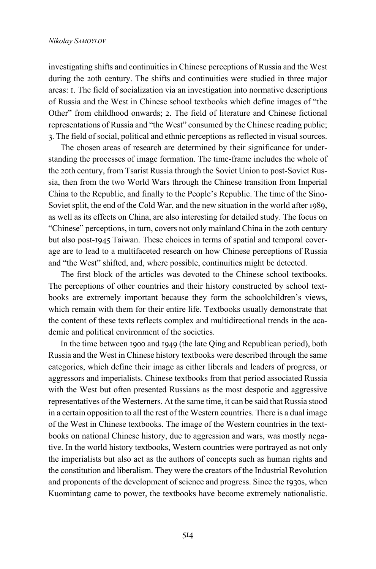investigating shifts and continuities in Chinese perceptions of Russia and the West during the 20th century. The shifts and continuities were studied in three major areas: L. The field of socialization via an investigation into normative descriptions of Russia and the West in Chinese school textbooks which define images of "the Other" from childhood onwards; 2. The field of literature and Chinese fictional representations of Russia and "the West" consumed by the Chinese reading public; N. The field of social, political and ethnic perceptions as reflected in visual sources.

The chosen areas of research are determined by their significance for understanding the processes of image formation. The time-frame includes the whole of the 20th century, from Tsarist Russia through the Soviet Union to post-Soviet Russia, then from the two World Wars through the Chinese transition from Imperial China to the Republic, and finally to the People's Republic. The time of the Sino-Soviet split, the end of the Cold War, and the new situation in the world after 1989, as well as its effects on China, are also interesting for detailed study. The focus on "Chinese" perceptions, in turn, covers not only mainland China in the 20th century but also post-1945 Taiwan. These choices in terms of spatial and temporal coverage are to lead to a multifaceted research on how Chinese perceptions of Russia and "the West" shifted, and, where possible, continuities might be detected.

The first block of the articles was devoted to the Chinese school textbooks. The perceptions of other countries and their history constructed by school textbooks are extremely important because they form the schoolchildren's views, which remain with them for their entire life. Textbooks usually demonstrate that the content of these texts reflects complex and multidirectional trends in the academic and political environment of the societies.

In the time between 1900 and 1949 (the late Qing and Republican period), both Russia and the West in Chinese history textbooks were described through the same categories, which define their image as either liberals and leaders of progress, or aggressors and imperialists. Chinese textbooks from that period associated Russia with the West but often presented Russians as the most despotic and aggressive representatives of the Westerners. At the same time, it can be said that Russia stood in a certain opposition to all the rest of the Western countries. There is a dual image of the West in Chinese textbooks. The image of the Western countries in the textbooks on national Chinese history, due to aggression and wars, was mostly negative. In the world history textbooks, Western countries were portrayed as not only the imperialists but also act as the authors of concepts such as human rights and the constitution and liberalism. They were the creators of the Industrial Revolution and proponents of the development of science and progress. Since the 1930s, when Kuomintang came to power, the textbooks have become extremely nationalistic.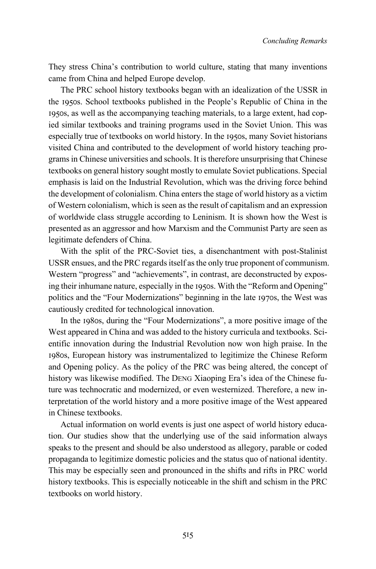They stress China's contribution to world culture, stating that many inventions came from China and helped Europe develop.

The PRC school history textbooks began with an idealization of the USSR in the 1950s. School textbooks published in the People's Republic of China in the 1950s, as well as the accompanying teaching materials, to a large extent, had copied similar textbooks and training programs used in the Soviet Union. This was especially true of textbooks on world history. In the 1950s, many Soviet historians visited China and contributed to the development of world history teaching programs in Chinese universities and schools. It is therefore unsurprising that Chinese textbooks on general history sought mostly to emulate Soviet publications. Special emphasis is laid on the Industrial Revolution, which was the driving force behind the development of colonialism. China enters the stage of world history as a victim of Western colonialism, which is seen as the result of capitalism and an expression of worldwide class struggle according to Leninism. It is shown how the West is presented as an aggressor and how Marxism and the Communist Party are seen as legitimate defenders of China.

With the split of the PRC-Soviet ties, a disenchantment with post-Stalinist USSR ensues, and the PRC regards itself as the only true proponent of communism. Western "progress" and "achievements", in contrast, are deconstructed by exposing their inhumane nature, especially in the 1950s. With the "Reform and Opening" politics and the "Four Modernizations" beginning in the late 1970s, the West was cautiously credited for technological innovation.

In the 1980s, during the "Four Modernizations", a more positive image of the West appeared in China and was added to the history curricula and textbooks. Scientific innovation during the Industrial Revolution now won high praise. In the 1980s, European history was instrumentalized to legitimize the Chinese Reform and Opening policy. As the policy of the PRC was being altered, the concept of history was likewise modified. The DENG Xiaoping Era's idea of the Chinese future was technocratic and modernized, or even westernized. Therefore, a new interpretation of the world history and a more positive image of the West appeared in Chinese textbooks.

Actual information on world events is just one aspect of world history education. Our studies show that the underlying use of the said information always speaks to the present and should be also understood as allegory, parable or coded propaganda to legitimize domestic policies and the status quo of national identity. This may be especially seen and pronounced in the shifts and rifts in PRC world history textbooks. This is especially noticeable in the shift and schism in the PRC textbooks on world history.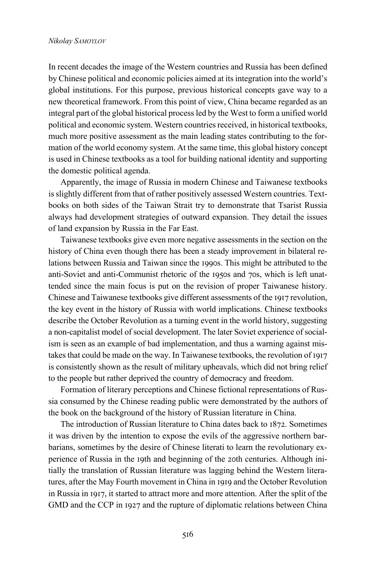## *Nikolay SAMOYLOV*

In recent decades the image of the Western countries and Russia has been defined by Chinese political and economic policies aimed at its integration into the world's global institutions. For this purpose, previous historical concepts gave way to a new theoretical framework. From this point of view, China became regarded as an integral part of the global historical process led by the West to form a unified world political and economic system. Western countries received, in historical textbooks, much more positive assessment as the main leading states contributing to the formation of the world economy system. At the same time, this global history concept is used in Chinese textbooks as a tool for building national identity and supporting the domestic political agenda.

Apparently, the image of Russia in modern Chinese and Taiwanese textbooks is slightly different from that of rather positively assessed Western countries. Textbooks on both sides of the Taiwan Strait try to demonstrate that Tsarist Russia always had development strategies of outward expansion. They detail the issues of land expansion by Russia in the Far East.

Taiwanese textbooks give even more negative assessments in the section on the history of China even though there has been a steady improvement in bilateral relations between Russia and Taiwan since the 1990s. This might be attributed to the anti-Soviet and anti-Communist rhetoric of the 1950s and 70s, which is left unattended since the main focus is put on the revision of proper Taiwanese history. Chinese and Taiwanese textbooks give different assessments of the 1917 revolution, the key event in the history of Russia with world implications. Chinese textbooks describe the October Revolution as a turning event in the world history, suggesting a non-capitalist model of social development. The later Soviet experience of socialism is seen as an example of bad implementation, and thus a warning against mistakes that could be made on the way. In Taiwanese textbooks, the revolution of 1917 is consistently shown as the result of military upheavals, which did not bring relief to the people but rather deprived the country of democracy and freedom.

Formation of literary perceptions and Chinese fictional representations of Russia consumed by the Chinese reading public were demonstrated by the authors of the book on the background of the history of Russian literature in China.

The introduction of Russian literature to China dates back to 1872. Sometimes it was driven by the intention to expose the evils of the aggressive northern barbarians, sometimes by the desire of Chinese literati to learn the revolutionary experience of Russia in the 19th and beginning of the 20th centuries. Although initially the translation of Russian literature was lagging behind the Western literatures, after the May Fourth movement in China in 1919 and the October Revolution in Russia in 1917, it started to attract more and more attention. After the split of the GMD and the CCP in 1927 and the rupture of diplomatic relations between China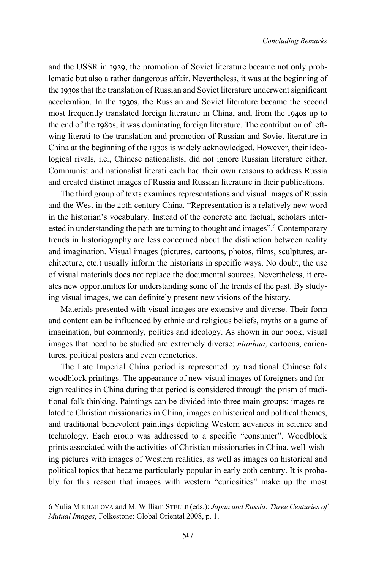and the USSR in 1929, the promotion of Soviet literature became not only problematic but also a rather dangerous affair. Nevertheless, it was at the beginning of the 1930s that the translation of Russian and Soviet literature underwent significant acceleration. In the 1930s, the Russian and Soviet literature became the second most frequently translated foreign literature in China, and, from the 1940s up to the end of the 1980s, it was dominating foreign literature. The contribution of leftwing literati to the translation and promotion of Russian and Soviet literature in China at the beginning of the 1930s is widely acknowledged. However, their ideological rivals, i.e., Chinese nationalists, did not ignore Russian literature either. Communist and nationalist literati each had their own reasons to address Russia and created distinct images of Russia and Russian literature in their publications.

The third group of texts examines representations and visual images of Russia and the West in the 20th century China. "Representation is a relatively new word in the historian's vocabulary. Instead of the concrete and factual, scholars interested in understanding the path are turning to thought and images".<sup>6</sup> Contemporary trends in historiography are less concerned about the distinction between reality and imagination. Visual images (pictures, cartoons, photos, films, sculptures, architecture, etc.) usually inform the historians in specific ways. No doubt, the use of visual materials does not replace the documental sources. Nevertheless, it creates new opportunities for understanding some of the trends of the past. By studying visual images, we can definitely present new visions of the history.

Materials presented with visual images are extensive and diverse. Their form and content can be influenced by ethnic and religious beliefs, myths or a game of imagination, but commonly, politics and ideology. As shown in our book, visual images that need to be studied are extremely diverse: *nianhua*, cartoons, caricatures, political posters and even cemeteries.

The Late Imperial China period is represented by traditional Chinese folk woodblock printings. The appearance of new visual images of foreigners and foreign realities in China during that period is considered through the prism of traditional folk thinking. Paintings can be divided into three main groups: images related to Christian missionaries in China, images on historical and political themes, and traditional benevolent paintings depicting Western advances in science and technology. Each group was addressed to a specific "consumer". Woodblock prints associated with the activities of Christian missionaries in China, well-wishing pictures with images of Western realities, as well as images on historical and political topics that became particularly popular in early 20th century. It is probably for this reason that images with western "curiosities" make up the most

<sup>6</sup> Yulia MIKHAILOVA and M. William STEELE (eds.): *Japan and Russia: Three Centuries of Mutual Images*, Folkestone: Global Oriental 2008, p. 1.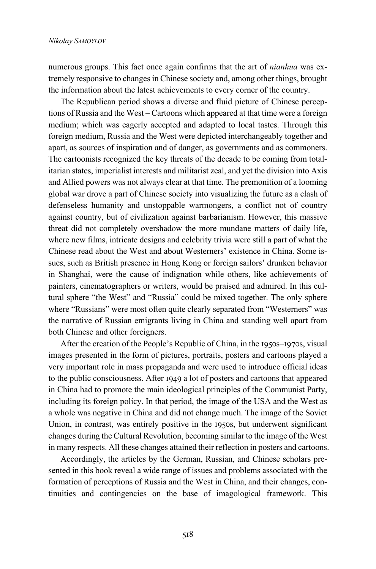numerous groups. This fact once again confirms that the art of *nianhua* was extremely responsive to changes in Chinese society and, among other things, brought the information about the latest achievements to every corner of the country.

The Republican period shows a diverse and fluid picture of Chinese perceptions of Russia and the West – Cartoons which appeared at that time were a foreign medium; which was eagerly accepted and adapted to local tastes. Through this foreign medium, Russia and the West were depicted interchangeably together and apart, as sources of inspiration and of danger, as governments and as commoners. The cartoonists recognized the key threats of the decade to be coming from totalitarian states, imperialist interests and militarist zeal, and yet the division into Axis and Allied powers was not always clear at that time. The premonition of a looming global war drove a part of Chinese society into visualizing the future as a clash of defenseless humanity and unstoppable warmongers, a conflict not of country against country, but of civilization against barbarianism. However, this massive threat did not completely overshadow the more mundane matters of daily life, where new films, intricate designs and celebrity trivia were still a part of what the Chinese read about the West and about Westerners' existence in China. Some issues, such as British presence in Hong Kong or foreign sailors' drunken behavior in Shanghai, were the cause of indignation while others, like achievements of painters, cinematographers or writers, would be praised and admired. In this cultural sphere "the West" and "Russia" could be mixed together. The only sphere where "Russians" were most often quite clearly separated from "Westerners" was the narrative of Russian emigrants living in China and standing well apart from both Chinese and other foreigners.

After the creation of the People's Republic of China, in the 1950s–1970s, visual images presented in the form of pictures, portraits, posters and cartoons played a very important role in mass propaganda and were used to introduce official ideas to the public consciousness. After 1949 a lot of posters and cartoons that appeared in China had to promote the main ideological principles of the Communist Party, including its foreign policy. In that period, the image of the USA and the West as a whole was negative in China and did not change much. The image of the Soviet Union, in contrast, was entirely positive in the 1950s, but underwent significant changes during the Сultural Revolution, becoming similar to the image of the West in many respects. All these changes attained their reflection in posters and cartoons.

Accordingly, the articles by the German, Russian, and Chinese scholars presented in this book reveal a wide range of issues and problems associated with the formation of perceptions of Russia and the West in China, and their changes, continuities and contingencies on the base of imagological framework. This